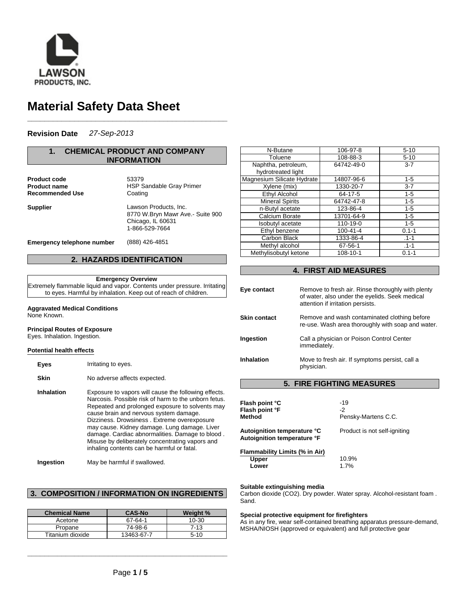

# **Material Safety Data Sheet**

## **Revision Date** *27-Sep-2013*

## **1. CHEMICAL PRODUCT AND COMPANY INFORMATION**

**\_\_\_\_\_\_\_\_\_\_\_\_\_\_\_\_\_\_\_\_\_\_\_\_\_\_\_\_\_\_\_\_\_\_\_\_\_\_\_\_\_\_\_\_\_\_\_**

Product code 53379 **Recommended Use** Coating

**Product name** HSP Sandable Gray Primer **Supplier** Lawson Products, Inc.

8770 W.Bryn Mawr Ave.- Suite 900 Chicago, IL 60631 1-866-529-7664

**Emergency telephone number** (888) 426-4851

## **2. HAZARDS IDENTIFICATION**

#### **Emergency Overview**

Extremely flammable liquid and vapor. Contents under pressure. Irritating to eyes. Harmful by inhalation. Keep out of reach of children.

## **Aggravated Medical Conditions**

None Known.

## **Principal Routes of Exposure**

Eyes. Inhalation. Ingestion.

#### **Potential health effects**

**Eyes** Irritating to eyes. **Skin** No adverse affects expected. **Inhalation** Exposure to vapors will cause the following effects. Narcosis. Possible risk of harm to the unborn fetus. Repeated and prolonged exposure to solvents may cause brain and nervous system damage. Dizziness. Drowsiness . Extreme overexposure may cause. Kidney damage. Lung damage. Liver damage. Cardiac abnormalities. Damage to blood . Misuse by deliberately concentrating vapors and inhaling contents can be harmful or fatal.

**Ingestion** May be harmful if swallowed.

## **3. COMPOSITION / INFORMATION ON INGREDIENTS**

| <b>Chemical Name</b> | <b>CAS-No</b> | Weight % |
|----------------------|---------------|----------|
| Acetone              | 67-64-1       | 10-30    |
| Propane              | 74-98-6       | 7-13     |
| Titanium dioxide     | 13463-67-7    | $5-10$   |

**\_\_\_\_\_\_\_\_\_\_\_\_\_\_\_\_\_\_\_\_\_\_\_\_\_\_\_\_\_\_\_\_\_\_\_\_\_\_\_\_\_\_\_\_\_\_\_**

| N-Butane                   | 106-97-8       | $5 - 10$  |
|----------------------------|----------------|-----------|
| Toluene                    | 108-88-3       | $5 - 10$  |
| Naphtha, petroleum,        | 64742-49-0     | $3 - 7$   |
| hydrotreated light         |                |           |
| Magnesium Silicate Hydrate | 14807-96-6     | $1 - 5$   |
| Xylene (mix)               | 1330-20-7      | $3 - 7$   |
| <b>Ethyl Alcohol</b>       | 64-17-5        | $1 - 5$   |
| <b>Mineral Spirits</b>     | 64742-47-8     | $1 - 5$   |
| n-Butyl acetate            | 123-86-4       | $1 - 5$   |
| Calcium Borate             | 13701-64-9     | $1 - 5$   |
| Isobutyl acetate           | 110-19-0       | $1 - 5$   |
| Ethyl benzene              | $100 - 41 - 4$ | $0.1 - 1$ |
| Carbon Black               | 1333-86-4      | $.1 - 1$  |
| Methyl alcohol             | 67-56-1        | $.1 - 1$  |
| Methylisobutyl ketone      | 108-10-1       | $0.1 - 1$ |

## **4. FIRST AID MEASURES**

| Eye contact         | Remove to fresh air. Rinse thoroughly with plenty<br>of water, also under the eyelids. Seek medical<br>attention if irritation persists. |
|---------------------|------------------------------------------------------------------------------------------------------------------------------------------|
| <b>Skin contact</b> | Remove and wash contaminated clothing before<br>re-use. Wash area thoroughly with soap and water.                                        |
| Ingestion           | Call a physician or Poison Control Center<br>immediately.                                                                                |
| <b>Inhalation</b>   | Move to fresh air. If symptoms persist, call a<br>physician.                                                                             |
|                     | FINIA MEAQHE                                                                                                                             |

## **5. FIRE FIGHTING MEASURES**

| Flash point °C<br>Flash point °F<br>Method                 | $-19$<br>-2<br>Pensky-Martens C.C. |
|------------------------------------------------------------|------------------------------------|
| Autoignition temperature °C<br>Autoignition temperature °F | Product is not self-igniting       |
| Flammability Limits (% in Air)<br>Upper<br>Lower           | 10.9%<br>1.7%                      |

#### **Suitable extinguishing media**

Carbon dioxide (CO2). Dry powder. Water spray. Alcohol-resistant foam . Sand.

## **Special protective equipment for firefighters**

As in any fire, wear self-contained breathing apparatus pressure-demand, MSHA/NIOSH (approved or equivalent) and full protective gear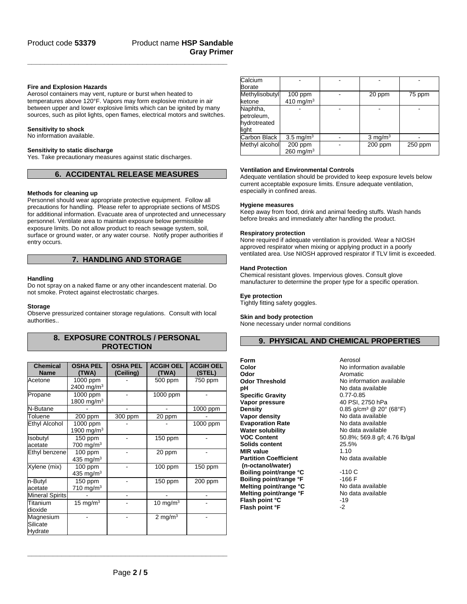## **Fire and Explosion Hazards**

Aerosol containers may vent, rupture or burst when heated to temperatures above 120°F. Vapors may form explosive mixture in air between upper and lower explosive limits which can be ignited by many sources, such as pilot lights, open flames, electrical motors and switches.

**\_\_\_\_\_\_\_\_\_\_\_\_\_\_\_\_\_\_\_\_\_\_\_\_\_\_\_\_\_\_\_\_\_\_\_\_\_\_\_\_\_\_\_\_\_\_\_**

### **Sensitivity to shock**

No information available.

#### **Sensitivity to static discharge**

Yes. Take precautionary measures against static discharges.

## **6. ACCIDENTAL RELEASE MEASURES**

#### **Methods for cleaning up**

Personnel should wear appropriate protective equipment. Follow all precautions for handling. Please refer to appropriate sections of MSDS for additional information. Evacuate area of unprotected and unnecessary personnel. Ventilate area to maintain exposure below permissible exposure limits. Do not allow product to reach sewage system, soil, surface or ground water, or any water course. Notify proper authorities if entry occurs.

## **7. HANDLING AND STORAGE**

#### **Handling**

Do not spray on a naked flame or any other incandescent material. Do not smoke. Protect against electrostatic charges.

#### **Storage**

Observe pressurized container storage regulations. Consult with local authorities..

## **8. EXPOSURE CONTROLS / PERSONAL PROTECTION**

| <b>Chemical</b>        | <b>OSHA PEL</b>        | <b>OSHA PEL</b> | <b>ACGIH OEL</b>   | <b>ACGIH OEL</b> |
|------------------------|------------------------|-----------------|--------------------|------------------|
| <b>Name</b>            | (TWA)                  | (Ceiling)       | (TWA)              | (STEL)           |
| Acetone                | 1000 ppm               |                 | 500 ppm            | 750 ppm          |
|                        | 2400 mg/m <sup>3</sup> |                 |                    |                  |
| Propane                | 1000 ppm               |                 | 1000 ppm           |                  |
|                        | 1800 mg/m <sup>3</sup> |                 |                    |                  |
| N-Butane               |                        |                 |                    | 1000 ppm         |
| Toluene                | 200 ppm                | 300 ppm         | 20 ppm             |                  |
| Ethyl Alcohol          | 1000 ppm               |                 |                    | 1000 ppm         |
|                        | 1900 mg/m <sup>3</sup> |                 |                    |                  |
| Isobutyl               | 150 ppm                |                 | 150 ppm            |                  |
| acetate                | 700 mg/m $3$           |                 |                    |                  |
| Ethyl benzene          | $100$ ppm              |                 | 20 ppm             |                  |
|                        | 435 mg/m $3$           |                 |                    |                  |
| Xylene (mix)           | $100$ ppm              |                 | $100$ ppm          | 150 ppm          |
|                        | 435 mg/m $3$           |                 |                    |                  |
| n-Butyl                | 150 ppm                |                 | 150 ppm            | 200 ppm          |
| acetate                | 710 mg/m $3$           |                 |                    |                  |
| <b>Mineral Spirits</b> |                        |                 |                    |                  |
| Titanium               | 15 mg/m $3$            |                 | 10 mg/m $3$        |                  |
| dioxide                |                        |                 |                    |                  |
| Magnesium              |                        |                 | $2 \text{ mg/m}^3$ |                  |
| Silicate               |                        |                 |                    |                  |
| Hydrate                |                        |                 |                    |                  |

| Calcium        |                      |                    |         |
|----------------|----------------------|--------------------|---------|
| Borate         |                      |                    |         |
| Methylisobutyl | $100$ ppm            | 20 ppm             | 75 ppm  |
| ketone         | 410 mg/m $3$         |                    |         |
| Naphtha,       |                      |                    |         |
| petroleum,     |                      |                    |         |
| hydrotreated   |                      |                    |         |
| light          |                      |                    |         |
| Carbon Black   | $3.5 \text{ mg/m}^3$ | $3 \text{ mg/m}^3$ |         |
| Methyl alcohol | 200 ppm              | $200$ ppm          | 250 ppm |
|                | 260 mg/ $m3$         |                    |         |

#### **Ventilation and Environmental Controls**

Adequate ventilation should be provided to keep exposure levels below current acceptable exposure limits. Ensure adequate ventilation, especially in confined areas.

#### **Hygiene measures**

Keep away from food, drink and animal feeding stuffs. Wash hands before breaks and immediately after handling the product.

#### **Respiratory protection**

None required if adequate ventilation is provided. Wear a NIOSH approved respirator when mixing or applying product in a poorly ventilated area. Use NIOSH approved respirator if TLV limit is exceeded.

## **Hand Protection**

Chemical resistant gloves. Impervious gloves. Consult glove manufacturer to determine the proper type for a specific operation.

#### **Eye protection**

Tightly fitting safety goggles.

## **Skin and body protection**

None necessary under normal conditions

## **9. PHYSICAL AND CHEMICAL PROPERTIES**

**Form** Aerosol **Odor** Aromatic<br> **Odor Threshold Containery No** inform **pH**<br> **Specific Gravity**<br> **C.77-0.85**<br> **C.77-0.85 Specific Gravity** 0.77-0.85<br> **Vapor pressure** 40 PSI, 2750 hPa **Vapor pressure<br>Density Vapor density and the Control Control No data available<br>
<b>Evaporation Rate** Mo data available **Evaporation Rate Water solubility Mo data available VOC Content COMPLAN** 50.8%; 569.8 g/l; **Solids content MIR value** 1.10 **Partition Coefficient (n-octanol/water) Boiling point/range °C**  $\qquad \qquad$  -110 C<br> **Boiling point/range °F**  $\qquad \qquad$ -166 F **Boiling point/range °F** -166 F<br>**Melting point/range °C** Mo data available **Melting point/range °C** No data available<br> **Melting point/range °F** No data available **Melting point/range °F** No<br> **Flash point °C** -19 **Flash point °C** -19<br> **Flash point °F** -2 **Flash point °F** 

**Color** No information available<br> **Odor** Aromatic **No information available** 0.85 g/cm<sup>3</sup> @ 20° (68°F)<br>No data available **VOC Content** 50.8%; 569.8 g/l; 4.76 lb/gal No data available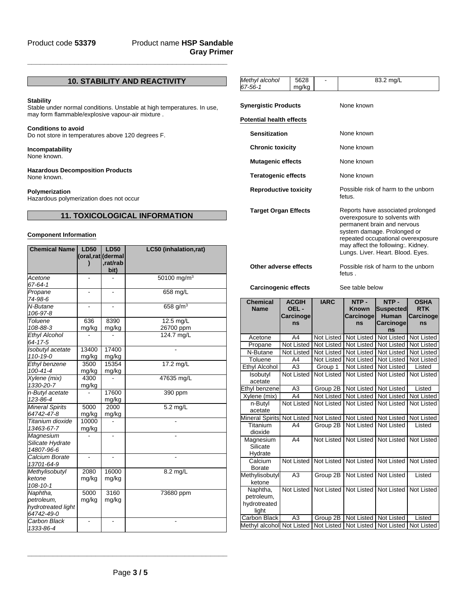## Product name **HSP Sandable Gray Primer**

## **10. STABILITY AND REACTIVITY**

**\_\_\_\_\_\_\_\_\_\_\_\_\_\_\_\_\_\_\_\_\_\_\_\_\_\_\_\_\_\_\_\_\_\_\_\_\_\_\_\_\_\_\_\_\_\_\_**

### **Stability**

Stable under normal conditions. Unstable at high temperatures. In use, may form flammable/explosive vapour-air mixture .

#### **Conditions to avoid**

Do not store in temperatures above 120 degrees F.

## **Incompatability**

None known.

#### **Hazardous Decomposition Products** None known.

## **Polymerization**

Hazardous polymerization does not occur

## **11. TOXICOLOGICAL INFORMATION**

## **Component Information**

| <b>Chemical Name</b>  | <b>LD50</b>    | <b>LD50</b>       | LC50 (inhalation,rat)   |
|-----------------------|----------------|-------------------|-------------------------|
|                       |                | (oral,rat (dermal |                         |
|                       |                | rat/rab.          |                         |
|                       |                | bit)              |                         |
| Acetone               | L,             |                   | 50100 mg/m <sup>3</sup> |
| 67-64-1               |                |                   |                         |
| Propane               | -              | $\overline{a}$    | 658 mg/L                |
| 74-98-6               |                |                   |                         |
| N-Butane              |                |                   | 658 $g/m^3$             |
| 106-97-8              |                |                   |                         |
| <b>Toluene</b>        | 636            | 8390              | 12.5 mg/L               |
| 108-88-3              | mg/kg          | mg/kg             | 26700 ppm               |
| Ethyl Alcohol         |                |                   | 124.7 mg/L              |
| 64-17-5               |                |                   |                         |
| Isobutyl acetate      | 13400          | 17400             |                         |
| 110-19-0              | mg/kg          | mg/kg             |                         |
| Ethyl benzene         | 3500           | 15354             | 17.2 mg/L               |
| $100 - 41 - 4$        | mg/kg          | mg/kg             |                         |
| Xylene (mix)          | 4300           |                   | 47635 mg/L              |
| 1330-20-7             | mg/kg          |                   |                         |
| n-Butyl acetate       |                | 17600             | 390 ppm                 |
| 123-86-4              |                | mg/kg             |                         |
| Mineral Spirits       | 5000           | 2000              | $\overline{5.2}$ mg/L   |
| 64742-47-8            | mg/kg          | mg/kg             |                         |
| Titanium dioxide      | 10000          |                   |                         |
| 13463-67-7            | mg/kg          |                   |                         |
| Magnesium             |                |                   |                         |
| Silicate Hydrate      |                |                   |                         |
| 14807-96-6            |                |                   |                         |
| Calcium Borate        | $\overline{a}$ | ä,                |                         |
| 13701-64-9            |                |                   |                         |
| <b>Methylisobutyl</b> | 2080           | 16000             | 8.2 mg/L                |
| ketone                | mg/kg          | mg/kg             |                         |
| $108 - 10 - 1$        |                |                   |                         |
| Naphtha,              | 5000           | 3160              | 73680 ppm               |
| petroleum.            | mg/kg          | mg/kg             |                         |
| hydrotreated light    |                |                   |                         |
| 64742-49-0            |                |                   |                         |
| Carbon Black          |                |                   |                         |
| 1333-86-4             |                |                   |                         |

| Methyl alcohol<br>67-56-1       | 5628<br>mg/kg | 83.2 mg/L                                                                                                                                                                                                                                         |
|---------------------------------|---------------|---------------------------------------------------------------------------------------------------------------------------------------------------------------------------------------------------------------------------------------------------|
| Synergistic Products            |               | None known                                                                                                                                                                                                                                        |
| <b>Potential health effects</b> |               |                                                                                                                                                                                                                                                   |
| <b>Sensitization</b>            |               | None known                                                                                                                                                                                                                                        |
| <b>Chronic toxicity</b>         |               | None known                                                                                                                                                                                                                                        |
| <b>Mutagenic effects</b>        |               | None known                                                                                                                                                                                                                                        |
| <b>Teratogenic effects</b>      |               | None known                                                                                                                                                                                                                                        |
| <b>Reproductive toxicity</b>    |               | Possible risk of harm to the unborn<br>fetus.                                                                                                                                                                                                     |
| <b>Target Organ Effects</b>     |               | Reports have associated prolonged<br>overexposure to solvents with<br>permanent brain and nervous<br>system damage. Prolonged or<br>repeated occupational overexposure<br>may affect the following:. Kidney.<br>Lungs. Liver. Heart. Blood. Eyes. |
| Other adverse effects           |               | Possible risk of harm to the unborn<br>fetus .                                                                                                                                                                                                    |
| <b>Carcinogenic effects</b>     |               | See table below                                                                                                                                                                                                                                   |
|                                 |               |                                                                                                                                                                                                                                                   |

| <b>Chemical</b><br><b>Name</b>                  | <b>ACGIH</b><br>OEL-<br>Carcinoge | <b>IARC</b>       | NTP-<br><b>Known</b><br>Carcinoge | NTP-<br><b>Suspected</b><br><b>Human</b> | <b>OSHA</b><br><b>RTK</b><br>Carcinoge |
|-------------------------------------------------|-----------------------------------|-------------------|-----------------------------------|------------------------------------------|----------------------------------------|
|                                                 | ns                                |                   | ns                                | <b>Carcinoge</b><br>ns                   | ns                                     |
| Acetone                                         | A4                                | Not Listed        | Not Listed                        | Not Listed                               | Not Listed                             |
| Propane                                         | Not Listed                        | Not Listed        | Not Listed                        | Not Listed                               | Not Listed                             |
| N-Butane                                        | Not Listed                        | Not Listed        | Not Listed                        | Not Listed                               | Not Listed                             |
| Toluene                                         | A4                                | <b>Not Listed</b> | Not Listed                        | <b>Not Listed</b>                        | Not Listed                             |
| Ethyl Alcohol                                   | A3                                | Group 1           | Not Listed                        | Not Listed                               | Listed                                 |
| Isobutyl<br>acetate                             | <b>Not Listed</b>                 | <b>Not Listed</b> | <b>Not Listed</b>                 | <b>Not Listed</b>                        | Not Listed                             |
| Ethyl benzene                                   | A3                                | Group 2B          | Not Listed                        | Not Listed                               | Listed                                 |
| Xylene (mix)                                    | A4                                | <b>Not Listed</b> | Not Listed                        | Not Listed                               | Not Listed                             |
| n-Butyl<br>acetate                              | Not Listed                        | Not Listed        | Not Listed                        | <b>Not Listed</b>                        | Not Listed                             |
| <b>Mineral Spirits</b>                          | <b>Not Listed</b>                 | <b>Not Listed</b> | Not Listed                        | Not Listed                               | Not Listed                             |
| Titanium<br>dioxide                             | A4                                | Group 2B          | <b>Not Listed</b>                 | <b>Not Listed</b>                        | Listed                                 |
| Magnesium<br>Silicate<br>Hydrate                | A4                                | <b>Not Listed</b> | Not Listed                        | Not Listed                               | Not Listed                             |
| Calcium<br><b>Borate</b>                        | <b>Not Listed</b>                 | <b>Not Listed</b> | <b>Not Listed</b>                 | Not Listed                               | Not Listed                             |
| Methylisobutyl<br>ketone                        | A <sub>3</sub>                    | Group 2B          | Not Listed                        | <b>Not Listed</b>                        | Listed                                 |
| Naphtha,<br>petroleum,<br>hydrotreated<br>light | <b>Not Listed</b>                 | <b>Not Listed</b> | <b>Not Listed</b>                 | Not Listed                               | Not Listed                             |
| Carbon Black                                    | A3                                | Group 2B          | Not Listed                        | Not Listed                               | Listed                                 |
| Methyl alcohol Not Listed                       |                                   | Not Listed        |                                   | Not Listed Not Listed Not Listed         |                                        |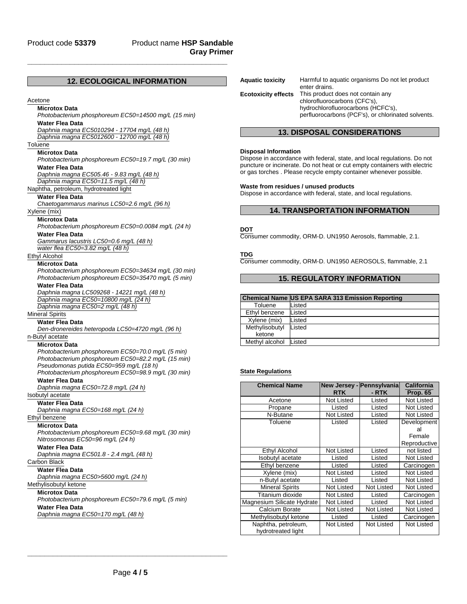## Product name **HSP Sandable Gray Primer**

## **12. ECOLOGICAL INFORMATION**

**\_\_\_\_\_\_\_\_\_\_\_\_\_\_\_\_\_\_\_\_\_\_\_\_\_\_\_\_\_\_\_\_\_\_\_\_\_\_\_\_\_\_\_\_\_\_\_**

## Acetone

#### **Microtox Data**

*Photobacterium phosphoreum EC50=14500 mg/L (15 min)* **Water Flea Data**

*Daphnia magna EC5010294 - 17704 mg/L (48 h) Daphnia magna EC5012600 - 12700 mg/L (48 h)*

#### **Toluene**

**Microtox Data**

*Photobacterium phosphoreum EC50=19.7 mg/L (30 min)* **Water Flea Data**

*Daphnia magna EC505.46 - 9.83 mg/L (48 h)*

*Daphnia magna EC50=11.5 mg/L (48 h)*

Naphtha, petroleum, hydrotreated light

#### **Water Flea Data**

*Chaetogammarus marinus LC50=2.6 mg/L (96 h)*

## Xylene (mix)

**Microtox Data**

*Photobacterium phosphoreum EC50=0.0084 mg/L (24 h)*

## **Water Flea Data**

*Gammarus lacustris LC50=0.6 mg/L (48 h)*

*water flea EC50=3.82 mg/L (48 h)*

## Ethyl Alcohol

## **Microtox Data**

*Photobacterium phosphoreum EC50=34634 mg/L (30 min) Photobacterium phosphoreum EC50=35470 mg/L (5 min)*

#### **Water Flea Data**

*Daphnia magna LC509268 - 14221 mg/L (48 h) Daphnia magna EC50=10800 mg/L (24 h) Daphnia magna EC50=2 mg/L (48 h)*

Mineral Spirits

## **Water Flea Data**

*Den-dronereides heteropoda LC50=4720 mg/L (96 h)* n-Butyl acetate

**Microtox Data** *Photobacterium phosphoreum EC50=70.0 mg/L (5 min) Photobacterium phosphoreum EC50=82.2 mg/L (15 min) Pseudomonas putida EC50=959 mg/L (18 h) Photobacterium phosphoreum EC50=98.9 mg/L (30 min)*

**Water Flea Data**

*Daphnia magna EC50=72.8 mg/L (24 h)*

## Isobutyl acetate

**Water Flea Data**

*Daphnia magna EC50=168 mg/L (24 h)*

## Ethyl benzene

**Microtox Data** *Photobacterium phosphoreum EC50=9.68 mg/L (30 min) Nitrosomonas EC50=96 mg/L (24 h)*

**Water Flea Data**

*Daphnia magna EC501.8 - 2.4 mg/L (48 h)*

#### Carbon Black

**Water Flea Data**

*Daphnia magna EC50>5600 mg/L (24 h)*

## Methylisobutyl ketone

**Microtox Data** *Photobacterium phosphoreum EC50=79.6 mg/L (5 min)* **Water Flea Data**

*Daphnia magna EC50=170 mg/L (48 h)*

| <b>Aquatic toxicity</b>    | Harmful to aquatic organisms Do not let product<br>enter drains.                                                                                              |
|----------------------------|---------------------------------------------------------------------------------------------------------------------------------------------------------------|
| <b>Ecotoxicity effects</b> | This product does not contain any<br>chlorofluorocarbons (CFC's),<br>hydrochlorofluorocarbons (HCFC's),<br>perfluorocarbons (PCF's), or chlorinated solvents. |

## **13. DISPOSAL CONSIDERATIONS**

#### **Disposal Information**

Dispose in accordance with federal, state, and local regulations. Do not puncture or incinerate. Do not heat or cut empty containers with electric or gas torches . Please recycle empty container whenever possible.

#### **Waste from residues / unused products**

Dispose in accordance with federal, state, and local regulations.

## **14. TRANSPORTATION INFORMATION**

#### **DOT**

Consumer commodity, ORM-D. UN1950 Aerosols, flammable, 2.1.

**TDG**

Consumer commodity, ORM-D. UN1950 AEROSOLS, flammable, 2.1

## **15. REGULATORY INFORMATION**

#### **Chemical Name US EPA SARA 313 Emission Reporting**

| Toluene        | Listed |
|----------------|--------|
| Ethyl benzene  | Listed |
| Xylene (mix)   | Listed |
| Methylisobutyl | Listed |
| ketone         |        |
| Methyl alcohol | Listed |

#### **State Regulations**

| <b>Chemical Name</b>                      | <b>RTK</b> | New Jersey - Pennsylvania<br>- RTK | California<br><b>Prop. 65</b>               |
|-------------------------------------------|------------|------------------------------------|---------------------------------------------|
| Acetone                                   | Not Listed | Listed                             | Not Listed                                  |
| Propane                                   | Listed     | Listed                             | Not Listed                                  |
| N-Butane                                  | Not Listed | Listed                             | Not Listed                                  |
| Toluene                                   | Listed     | Listed                             | Development<br>al<br>Female<br>Reproductive |
| Ethyl Alcohol                             | Not Listed | Listed                             | not listed                                  |
| <b>Isobutyl</b> acetate                   | Listed     | Listed                             | Not Listed                                  |
| Ethyl benzene                             | Listed     | Listed                             | Carcinogen                                  |
| Xylene (mix)                              | Not Listed | Listed                             | Not Listed                                  |
| n-Butyl acetate                           | Listed     | Listed                             | Not Listed                                  |
| <b>Mineral Spirits</b>                    | Not Listed | <b>Not Listed</b>                  | Not Listed                                  |
| Titanium dioxide                          | Not Listed | Listed                             | Carcinogen                                  |
| Magnesium Silicate Hydrate                | Not Listed | Listed                             | Not Listed                                  |
| Calcium Borate                            | Not Listed | <b>Not Listed</b>                  | Not Listed                                  |
| Methylisobutyl ketone                     | Listed     | Listed                             | Carcinogen                                  |
| Naphtha, petroleum,<br>hydrotreated light | Not Listed | Not Listed                         | Not Listed                                  |